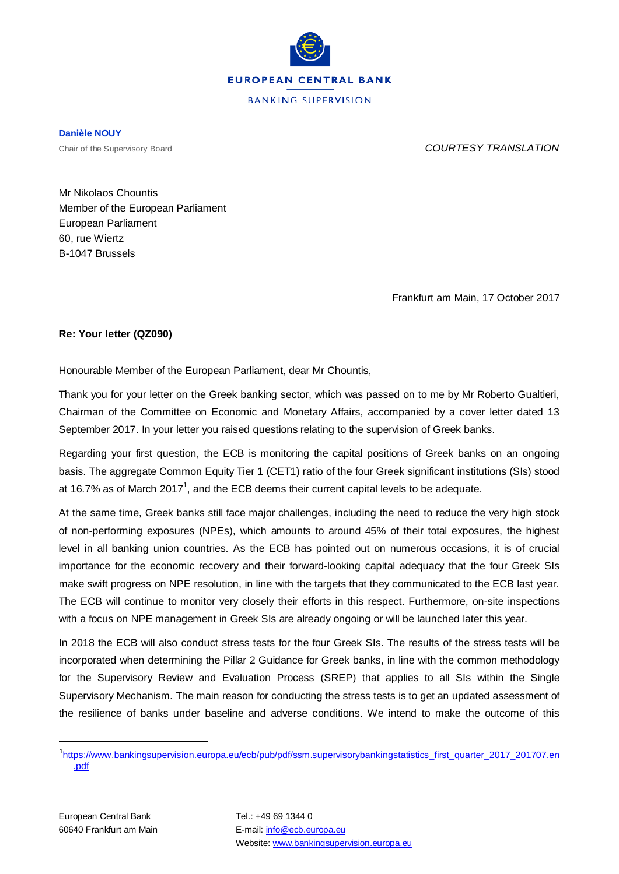

**BANKING SUPERVISION** 

**Danièle NOUY**

Chair of the Supervisory Board *COURTESY TRANSLATION*

Mr Nikolaos Chountis Member of the European Parliament European Parliament 60, rue Wiertz B-1047 Brussels

Frankfurt am Main, 17 October 2017

## **Re: Your letter (QZ090)**

Honourable Member of the European Parliament, dear Mr Chountis,

Thank you for your letter on the Greek banking sector, which was passed on to me by Mr Roberto Gualtieri, Chairman of the Committee on Economic and Monetary Affairs, accompanied by a cover letter dated 13 September 2017. In your letter you raised questions relating to the supervision of Greek banks.

Regarding your first question, the ECB is monitoring the capital positions of Greek banks on an ongoing basis. The aggregate Common Equity Tier 1 (CET1) ratio of the four Greek significant institutions (SIs) stood at [1](#page-0-0)6.7% as of March 2017<sup>1</sup>, and the ECB deems their current capital levels to be adequate.

At the same time, Greek banks still face major challenges, including the need to reduce the very high stock of non-performing exposures (NPEs), which amounts to around 45% of their total exposures, the highest level in all banking union countries. As the ECB has pointed out on numerous occasions, it is of crucial importance for the economic recovery and their forward-looking capital adequacy that the four Greek SIs make swift progress on NPE resolution, in line with the targets that they communicated to the ECB last year. The ECB will continue to monitor very closely their efforts in this respect. Furthermore, on-site inspections with a focus on NPE management in Greek SIs are already ongoing or will be launched later this year.

In 2018 the ECB will also conduct stress tests for the four Greek SIs. The results of the stress tests will be incorporated when determining the Pillar 2 Guidance for Greek banks, in line with the common methodology for the Supervisory Review and Evaluation Process (SREP) that applies to all SIs within the Single Supervisory Mechanism. The main reason for conducting the stress tests is to get an updated assessment of the resilience of banks under baseline and adverse conditions. We intend to make the outcome of this

<span id="page-0-0"></span> <sup>1</sup> [https://www.bankingsupervision.europa.eu/ecb/pub/pdf/ssm.supervisorybankingstatistics\\_first\\_quarter\\_2017\\_201707.en](https://www.bankingsupervision.europa.eu/ecb/pub/pdf/ssm.supervisorybankingstatistics_first_quarter_2017_201707.en.pdf) [.pdf](https://www.bankingsupervision.europa.eu/ecb/pub/pdf/ssm.supervisorybankingstatistics_first_quarter_2017_201707.en.pdf)